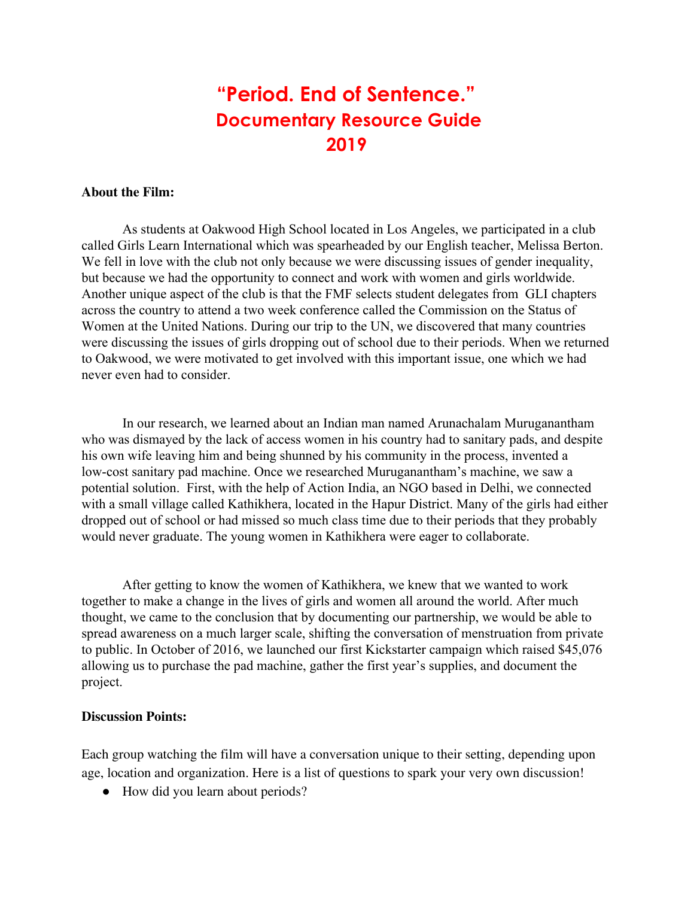# **"Period. End of Sentence." Documentary Resource Guide 2019**

### **About the Film:**

As students at Oakwood High School located in Los Angeles, we participated in a club called Girls Learn International which was spearheaded by our English teacher, Melissa Berton. We fell in love with the club not only because we were discussing issues of gender inequality, but because we had the opportunity to connect and work with women and girls worldwide. Another unique aspect of the club is that the FMF selects student delegates from GLI chapters across the country to attend a two week conference called the Commission on the Status of Women at the United Nations. During our trip to the UN, we discovered that many countries were discussing the issues of girls dropping out of school due to their periods. When we returned to Oakwood, we were motivated to get involved with this important issue, one which we had never even had to consider.

In our research, we learned about an Indian man named Arunachalam Muruganantham who was dismayed by the lack of access women in his country had to sanitary pads, and despite his own wife leaving him and being shunned by his community in the process, invented a low-cost sanitary pad machine. Once we researched Muruganantham's machine, we saw a potential solution. First, with the help of Action India, an NGO based in Delhi, we connected with a small village called Kathikhera, located in the Hapur District. Many of the girls had either dropped out of school or had missed so much class time due to their periods that they probably would never graduate. The young women in Kathikhera were eager to collaborate.

After getting to know the women of Kathikhera, we knew that we wanted to work together to make a change in the lives of girls and women all around the world. After much thought, we came to the conclusion that by documenting our partnership, we would be able to spread awareness on a much larger scale, shifting the conversation of menstruation from private to public. In October of 2016, we launched our first Kickstarter campaign which raised \$45,076 allowing us to purchase the pad machine, gather the first year's supplies, and document the project.

#### **Discussion Points:**

Each group watching the film will have a conversation unique to their setting, depending upon age, location and organization. Here is a list of questions to spark your very own discussion!

• How did you learn about periods?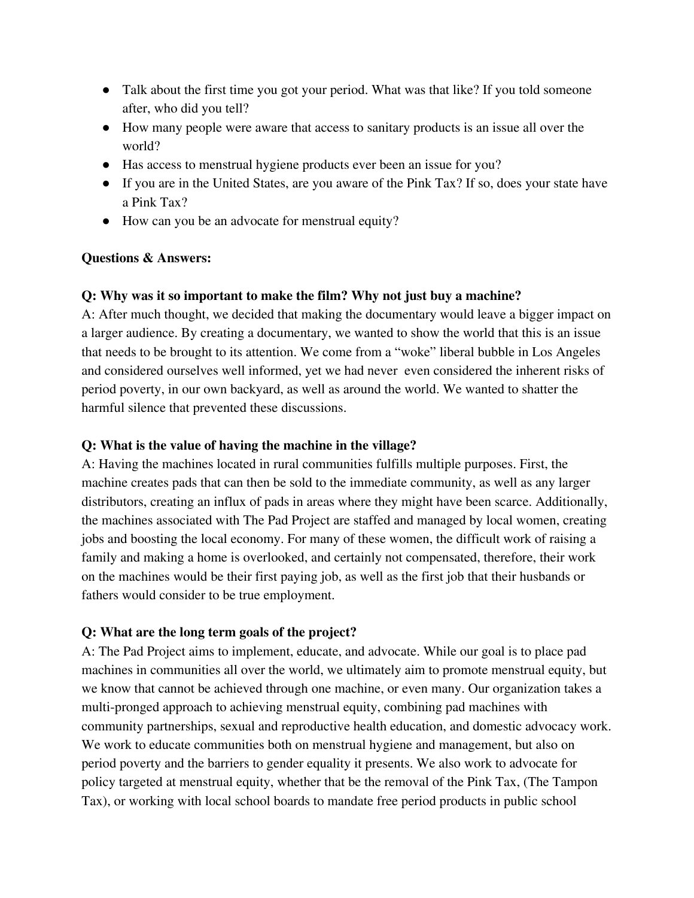- Talk about the first time you got your period. What was that like? If you told someone after, who did you tell?
- How many people were aware that access to sanitary products is an issue all over the world?
- Has access to menstrual hygiene products ever been an issue for you?
- If you are in the United States, are you aware of the Pink Tax? If so, does your state have a Pink Tax?
- How can you be an advocate for menstrual equity?

# **Questions & Answers:**

## **Q: Why was it so important to make the film? Why not just buy a machine?**

A: After much thought, we decided that making the documentary would leave a bigger impact on a larger audience. By creating a documentary, we wanted to show the world that this is an issue that needs to be brought to its attention. We come from a "woke" liberal bubble in Los Angeles and considered ourselves well informed, yet we had never even considered the inherent risks of period poverty, in our own backyard, as well as around the world. We wanted to shatter the harmful silence that prevented these discussions.

# **Q: What is the value of having the machine in the village?**

A: Having the machines located in rural communities fulfills multiple purposes. First, the machine creates pads that can then be sold to the immediate community, as well as any larger distributors, creating an influx of pads in areas where they might have been scarce. Additionally, the machines associated with The Pad Project are staffed and managed by local women, creating jobs and boosting the local economy. For many of these women, the difficult work of raising a family and making a home is overlooked, and certainly not compensated, therefore, their work on the machines would be their first paying job, as well as the first job that their husbands or fathers would consider to be true employment.

# **Q: What are the long term goals of the project?**

A: The Pad Project aims to implement, educate, and advocate. While our goal is to place pad machines in communities all over the world, we ultimately aim to promote menstrual equity, but we know that cannot be achieved through one machine, or even many. Our organization takes a multi-pronged approach to achieving menstrual equity, combining pad machines with community partnerships, sexual and reproductive health education, and domestic advocacy work. We work to educate communities both on menstrual hygiene and management, but also on period poverty and the barriers to gender equality it presents. We also work to advocate for policy targeted at menstrual equity, whether that be the removal of the Pink Tax, (The Tampon Tax), or working with local school boards to mandate free period products in public school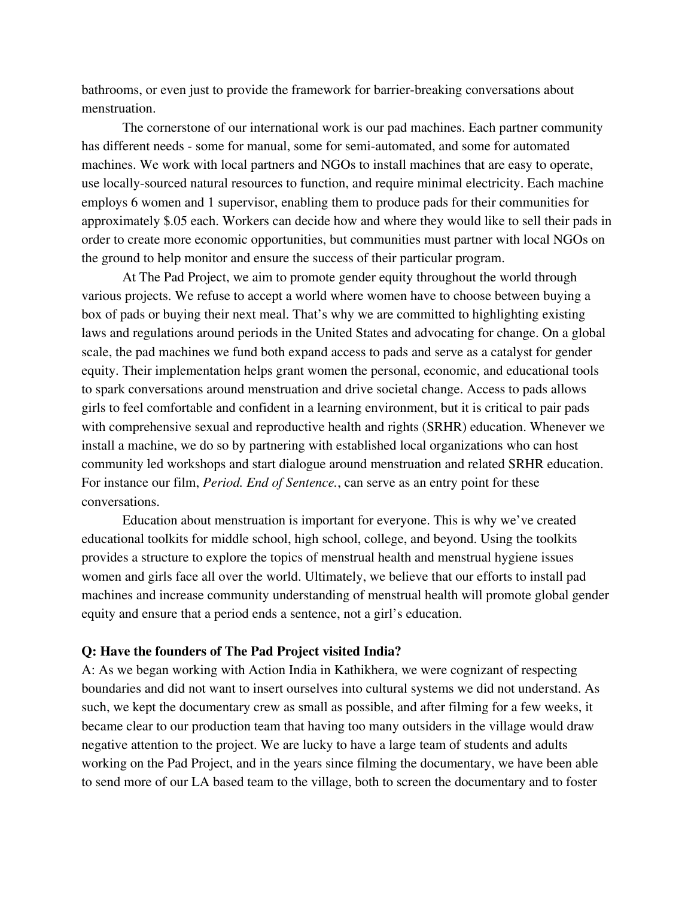bathrooms, or even just to provide the framework for barrier-breaking conversations about menstruation.

The cornerstone of our international work is our pad machines. Each partner community has different needs - some for manual, some for semi-automated, and some for automated machines. We work with local partners and NGOs to install machines that are easy to operate, use locally-sourced natural resources to function, and require minimal electricity. Each machine employs 6 women and 1 supervisor, enabling them to produce pads for their communities for approximately \$.05 each. Workers can decide how and where they would like to sell their pads in order to create more economic opportunities, but communities must partner with local NGOs on the ground to help monitor and ensure the success of their particular program.

At The Pad Project, we aim to promote gender equity throughout the world through various projects. We refuse to accept a world where women have to choose between buying a box of pads or buying their next meal. That's why we are committed to highlighting existing laws and regulations around periods in the United States and advocating for change. On a global scale, the pad machines we fund both expand access to pads and serve as a catalyst for gender equity. Their implementation helps grant women the personal, economic, and educational tools to spark conversations around menstruation and drive societal change. Access to pads allows girls to feel comfortable and confident in a learning environment, but it is critical to pair pads with comprehensive sexual and reproductive health and rights (SRHR) education. Whenever we install a machine, we do so by partnering with established local organizations who can host community led workshops and start dialogue around menstruation and related SRHR education. For instance our film, *Period. End of Sentence.*, can serve as an entry point for these conversations.

Education about menstruation is important for everyone. This is why we've created educational toolkits for middle school, high school, college, and beyond. Using the toolkits provides a structure to explore the topics of menstrual health and menstrual hygiene issues women and girls face all over the world. Ultimately, we believe that our efforts to install pad machines and increase community understanding of menstrual health will promote global gender equity and ensure that a period ends a sentence, not a girl's education.

#### **Q: Have the founders of The Pad Project visited India?**

A: As we began working with Action India in Kathikhera, we were cognizant of respecting boundaries and did not want to insert ourselves into cultural systems we did not understand. As such, we kept the documentary crew as small as possible, and after filming for a few weeks, it became clear to our production team that having too many outsiders in the village would draw negative attention to the project. We are lucky to have a large team of students and adults working on the Pad Project, and in the years since filming the documentary, we have been able to send more of our LA based team to the village, both to screen the documentary and to foster